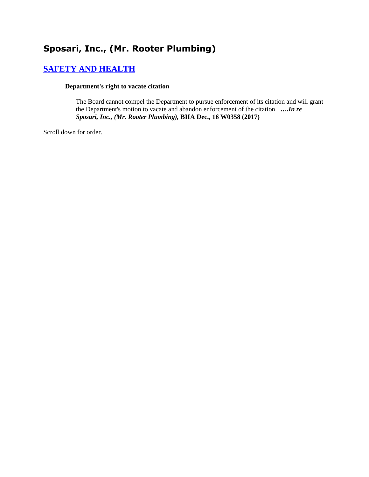# **[SAFETY AND HEALTH](http://www.biia.wa.gov/SDSubjectIndex.html#SAFETY_AND_HEALTH)**

#### **Department's right to vacate citation**

The Board cannot compel the Department to pursue enforcement of its citation and will grant the Department's motion to vacate and abandon enforcement of the citation. **….***In re Sposari, Inc., (Mr. Rooter Plumbing),* **BIIA Dec., 16 W0358 (2017)**

Scroll down for order.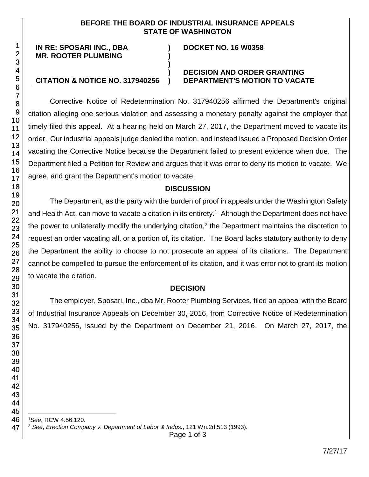#### **BEFORE THE BOARD OF INDUSTRIAL INSURANCE APPEALS STATE OF WASHINGTON**

**) )**

**)**

#### **IN RE: SPOSARI INC., DBA MR. ROOTER PLUMBING**

#### **DOCKET NO. 16 W0358**

#### **) DECISION AND ORDER GRANTING CITATION & NOTICE NO. 317940256 ) DEPARTMENT'S MOTION TO VACATE**

Corrective Notice of Redetermination No. 317940256 affirmed the Department's original citation alleging one serious violation and assessing a monetary penalty against the employer that timely filed this appeal. At a hearing held on March 27, 2017, the Department moved to vacate its order. Our industrial appeals judge denied the motion, and instead issued a Proposed Decision Order vacating the Corrective Notice because the Department failed to present evidence when due. The Department filed a Petition for Review and argues that it was error to deny its motion to vacate. We agree, and grant the Department's motion to vacate.

### **DISCUSSION**

The Department, as the party with the burden of proof in appeals under the Washington Safety and Health Act, can move to vacate a citation in its entirety.<sup>1</sup> Although the Department does not have the power to unilaterally modify the underlying citation,<sup>2</sup> the Department maintains the discretion to request an order vacating all, or a portion of, its citation. The Board lacks statutory authority to deny the Department the ability to choose to not prosecute an appeal of its citations. The Department cannot be compelled to pursue the enforcement of its citation, and it was error not to grant its motion to vacate the citation.

### **DECISION**

The employer, Sposari, Inc., dba Mr. Rooter Plumbing Services, filed an appeal with the Board of Industrial Insurance Appeals on December 30, 2016, from Corrective Notice of Redetermination No. 317940256, issued by the Department on December 21, 2016. On March 27, 2017, the

l *See*, RCW 4.56.120.

*See*, *Erection Company v. Department of Labor & Indus.*, 121 Wn.2d 513 (1993).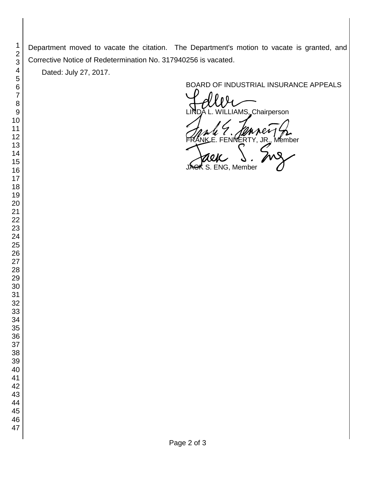Department moved to vacate the citation. The Department's motion to vacate is granted, and Corrective Notice of Redetermination No. 317940256 is vacated.

Dated: July 27, 2017.

BOARD OF INDUSTRIAL INSURANCE APPEALS<br>
UNDA L. WILLIAMS, Chairperson FRANK E. FENNERTY, JR., Member<br>FRANK E. FENNERTY, JR., Member<br>JAGK S. ENG, Member S. ENG, Member